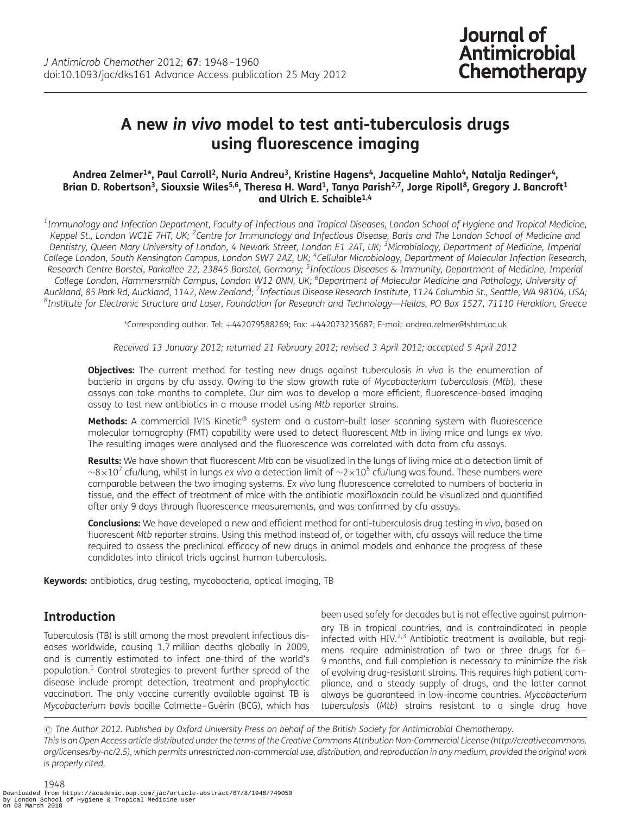# A new in vivo model to test anti-tuberculosis drugs using fluorescence imaging

#### Andrea Zelmer<sup>1\*</sup>, Paul Carroll<sup>2</sup>, Nuria Andreu<sup>3</sup>, Kristine Hagens<sup>4</sup>, Jacqueline Mahlo<sup>4</sup>, Natalja Redinger<sup>4</sup>, Brian D. Robertson<sup>3</sup>, Siouxsie Wiles<sup>5,6</sup>, Theresa H. Ward<sup>1</sup>, Tanya Parish<sup>2,7</sup>, Jorge Ripoll<sup>8</sup>, Gregory J. Bancroft<sup>1</sup> and Ulrich E. Schaible1,4

 $^{\rm 1}$ Immunology and Infection Department, Faculty of Infectious and Tropical Diseases, London School of Hygiene and Tropical Medicine, Keppel St., London WC1E 7HT, UK; <sup>2</sup>Centre for Immunology and Infectious Disease, Barts and The London School of Medicine and Dentistry, Queen Mary University of London, 4 Newark Street, London E1 2AT, UK; <sup>3</sup>Microbiology, Department of Medicine, Imperial College London, South Kensington Campus, London SW7 2AZ, UK; <sup>4</sup>Cellular Microbiology, Department of Molecular Infection Research, Research Centre Borstel, Parkallee 22, 23845 Borstel, Germany; <sup>5</sup>Infectious Diseases & Immunity, Department of Medicine, Imperial College London, Hammersmith Campus, London W12 0NN, UK; <sup>6</sup>Department of Molecular Medicine and Pathology, University of Auckland, 85 Park Rd, Auckland, 1142, New Zealand; <sup>7</sup>Infectious Disease Research Institute, 1124 Columbia St., Seattle, WA 98104, USA;<br><sup>8</sup>Institute for Electronic Structure and Laser, Foundation for Pesearch and Technolog  ${}^{8}$ Institute for Electronic Structure and Laser, Foundation for Research and Technology—Hellas, PO Box 1527, 71110 Heraklion, Greece

\*Corresponding author. Tel: +442079588269; Fax: +442073235687; E-mail: andrea.zelmer@lshtm.ac.uk

Received 13 January 2012; returned 21 February 2012; revised 3 April 2012; accepted 5 April 2012

Objectives: The current method for testing new drugs against tuberculosis in vivo is the enumeration of bacteria in organs by cfu assay. Owing to the slow growth rate of Mycobacterium tuberculosis (Mtb), these assays can take months to complete. Our aim was to develop a more efficient, fluorescence-based imaging assay to test new antibiotics in a mouse model using Mtb reporter strains.

Methods: A commercial IVIS Kinetic® system and a custom-built laser scanning system with fluorescence molecular tomography (FMT) capability were used to detect fluorescent Mtb in living mice and lungs ex vivo. The resulting images were analysed and the fluorescence was correlated with data from cfu assays.

Results: We have shown that fluorescent Mtb can be visualized in the lungs of living mice at a detection limit of  $\sim$ 8 $\times$ 10<sup>7</sup> cfu/lung, whilst in lungs ex vivo a detection limit of  $\sim$ 2 $\times$ 10<sup>5</sup> cfu/lung was found. These numbers were comparable between the two imaging systems. Ex vivo lung fluorescence correlated to numbers of bacteria in tissue, and the effect of treatment of mice with the antibiotic moxifloxacin could be visualized and quantified after only 9 days through fluorescence measurements, and was confirmed by cfu assays.

Conclusions: We have developed a new and efficient method for anti-tuberculosis drug testing in vivo, based on fluorescent Mtb reporter strains. Using this method instead of, or together with, cfu assays will reduce the time required to assess the preclinical efficacy of new drugs in animal models and enhance the progress of these candidates into clinical trials against human tuberculosis.

Keywords: antibiotics, drug testing, mycobacteria, optical imaging, TB

# **Introduction**

Tuberculosis (TB) is still among the most prevalent infectious diseases worldwide, causing 1.7 million deaths globally in 2009, and is currently estimated to infect one-third of the world's population. $1$  Control strategies to prevent further spread of the disease include prompt detection, treatment and prophylactic vaccination. The only vaccine currently available against TB is Mycobacterium bovis bacille Calmette-Guérin (BCG), which has

been used safely for decades but is not effective against pulmonary TB in tropical countries, and is contraindicated in people infected with  $HIV^{2,3}$  $HIV^{2,3}$  $HIV^{2,3}$  $HIV^{2,3}$  $HIV^{2,3}$  Antibiotic treatment is available, but regimens require administration of two or three drugs for  $6-$ 9 months, and full completion is necessary to minimize the risk of evolving drug-resistant strains. This requires high patient compliance, and a steady supply of drugs, and the latter cannot always be guaranteed in low-income countries. Mycobacterium tuberculosis (Mtb) strains resistant to a single drug have

 $\odot$  The Author 2012. Published by Oxford University Press on behalf of the British Society for Antimicrobial Chemotherapy. This is an Open Access article distributed under the terms of the Creative Commons Attribution Non-Commercial License (http://creativecommons. org/licenses/by-nc/2.5), which permits unrestricted non-commercial use, distribution, and reproduction in any medium, provided the original work is properly cited.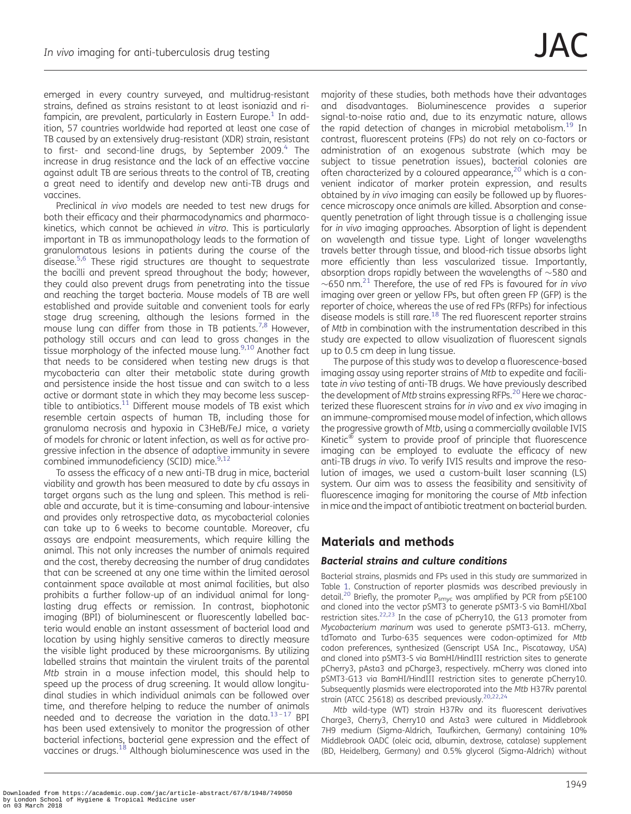emerged in every country surveyed, and multidrug-resistant strains, defined as strains resistant to at least isoniazid and ri-fampicin, are prevalent, particularly in Eastern Europe.<sup>[1](#page-11-0)</sup> In addition, 57 countries worldwide had reported at least one case of TB caused by an extensively drug-resistant (XDR) strain, resistant to first- and second-line drugs, by September 2009.<sup>[4](#page-11-0)</sup> The increase in drug resistance and the lack of an effective vaccine against adult TB are serious threats to the control of TB, creating a great need to identify and develop new anti-TB drugs and vaccines.

Preclinical in vivo models are needed to test new drugs for both their efficacy and their pharmacodynamics and pharmacokinetics, which cannot be achieved in vitro. This is particularly important in TB as immunopathology leads to the formation of granulomatous lesions in patients during the course of the disease.<sup>5,[6](#page-11-0)</sup> These rigid structures are thought to sequestrate the bacilli and prevent spread throughout the body; however, they could also prevent drugs from penetrating into the tissue and reaching the target bacteria. Mouse models of TB are well established and provide suitable and convenient tools for early stage drug screening, although the lesions formed in the mouse lung can differ from those in TB patients.<sup>[7,8](#page-11-0)</sup> However, pathology still occurs and can lead to gross changes in the tissue morphology of the infected mouse lung.<sup>[9,10](#page-11-0)</sup> Another fact that needs to be considered when testing new drugs is that mycobacteria can alter their metabolic state during growth and persistence inside the host tissue and can switch to a less active or dormant state in which they may become less susceptible to antibiotics.<sup>11</sup> Different mouse models of TB exist which resemble certain aspects of human TB, including those for granuloma necrosis and hypoxia in C3HeB/FeJ mice, a variety of models for chronic or latent infection, as well as for active progressive infection in the absence of adaptive immunity in severe combined immunodeficiency (SCID) mice.<sup>[9,12](#page-11-0)</sup>

To assess the efficacy of a new anti-TB drug in mice, bacterial viability and growth has been measured to date by cfu assays in target organs such as the lung and spleen. This method is reliable and accurate, but it is time-consuming and labour-intensive and provides only retrospective data, as mycobacterial colonies can take up to 6 weeks to become countable. Moreover, cfu assays are endpoint measurements, which require killing the animal. This not only increases the number of animals required and the cost, thereby decreasing the number of drug candidates that can be screened at any one time within the limited aerosol containment space available at most animal facilities, but also prohibits a further follow-up of an individual animal for longlasting drug effects or remission. In contrast, biophotonic imaging (BPI) of bioluminescent or fluorescently labelled bacteria would enable an instant assessment of bacterial load and location by using highly sensitive cameras to directly measure the visible light produced by these microorganisms. By utilizing labelled strains that maintain the virulent traits of the parental Mtb strain in a mouse infection model, this should help to speed up the process of drug screening. It would allow longitudinal studies in which individual animals can be followed over time, and therefore helping to reduce the number of animals needed and to decrease the variation in the data. $13-17$  $13-17$  $13-17$  BPI has been used extensively to monitor the progression of other bacterial infections, bacterial gene expression and the effect of vaccines or drugs.[18](#page-11-0) Although bioluminescence was used in the

majority of these studies, both methods have their advantages and disadvantages. Bioluminescence provides a superior signal-to-noise ratio and, due to its enzymatic nature, allows the rapid detection of changes in microbial metabolism.<sup>[19](#page-11-0)</sup> In contrast, fluorescent proteins (FPs) do not rely on co-factors or administration of an exogenous substrate (which may be subject to tissue penetration issues), bacterial colonies are often characterized by a coloured appearance, $20$  which is a convenient indicator of marker protein expression, and results obtained by in vivo imaging can easily be followed up by fluorescence microscopy once animals are killed. Absorption and consequently penetration of light through tissue is a challenging issue for in vivo imaging approaches. Absorption of light is dependent on wavelength and tissue type. Light of longer wavelengths travels better through tissue, and blood-rich tissue absorbs light more efficiently than less vascularized tissue. Importantly, absorption drops rapidly between the wavelengths of  $\sim$  580 and  $\sim$  650 nm.<sup>21</sup> Therefore, the use of red FPs is favoured for in vivo imaging over green or yellow FPs, but often green FP (GFP) is the reporter of choice, whereas the use of red FPs (RFPs) for infectious disease models is still rare. $18$  The red fluorescent reporter strains of Mtb in combination with the instrumentation described in this study are expected to allow visualization of fluorescent signals up to 0.5 cm deep in lung tissue.

The purpose of this study was to develop a fluorescence-based imaging assay using reporter strains of Mtb to expedite and facilitate in vivo testing of anti-TB drugs. We have previously described the development of Mtb strains expressing RFPs.<sup>20</sup> Here we characterized these fluorescent strains for in vivo and ex vivo imaging in an immune-compromised mouse model of infection, which allows the progressive growth of Mtb, using a commercially available IVIS Kinetic<sup>®</sup> system to provide proof of principle that fluorescence imaging can be employed to evaluate the efficacy of new anti-TB drugs in vivo. To verify IVIS results and improve the resolution of images, we used a custom-built laser scanning (LS) system. Our aim was to assess the feasibility and sensitivity of fluorescence imaging for monitoring the course of Mtb infection in mice and the impact of antibiotic treatment on bacterial burden.

# Materials and methods

## Bacterial strains and culture conditions

Bacterial strains, plasmids and FPs used in this study are summarized in Table [1](#page-2-0). Construction of reporter plasmids was described previously in detail.<sup>[20](#page-11-0)</sup> Briefly, the promoter  $P_{\text{smyc}}$  was amplified by PCR from pSE100 and cloned into the vector pSMT3 to generate pSMT3-S via BamHI/XbaI restriction sites.<sup>[22](#page-11-0),[23](#page-11-0)</sup> In the case of pCherry10, the G13 promoter from Mycobacterium marinum was used to generate pSMT3-G13. mCherry, tdTomato and Turbo-635 sequences were codon-optimized for Mtb codon preferences, synthesized (Genscript USA Inc., Piscataway, USA) and cloned into pSMT3-S via BamHI/HindIII restriction sites to generate pCherry3, pAsta3 and pCharge3, respectively. mCherry was cloned into pSMT3-G13 via BamHI/HindIII restriction sites to generate pCherry10. Subsequently plasmids were electroporated into the Mtb H37Rv parental strain (ATCC 25618) as described previously.[20](#page-11-0),[22](#page-11-0),[24](#page-11-0)

Mtb wild-type (WT) strain H37Rv and its fluorescent derivatives Charge3, Cherry3, Cherry10 and Asta3 were cultured in Middlebrook 7H9 medium (Sigma-Aldrich, Taufkirchen, Germany) containing 10% Middlebrook OADC (oleic acid, albumin, dextrose, catalase) supplement (BD, Heidelberg, Germany) and 0.5% glycerol (Sigma-Aldrich) without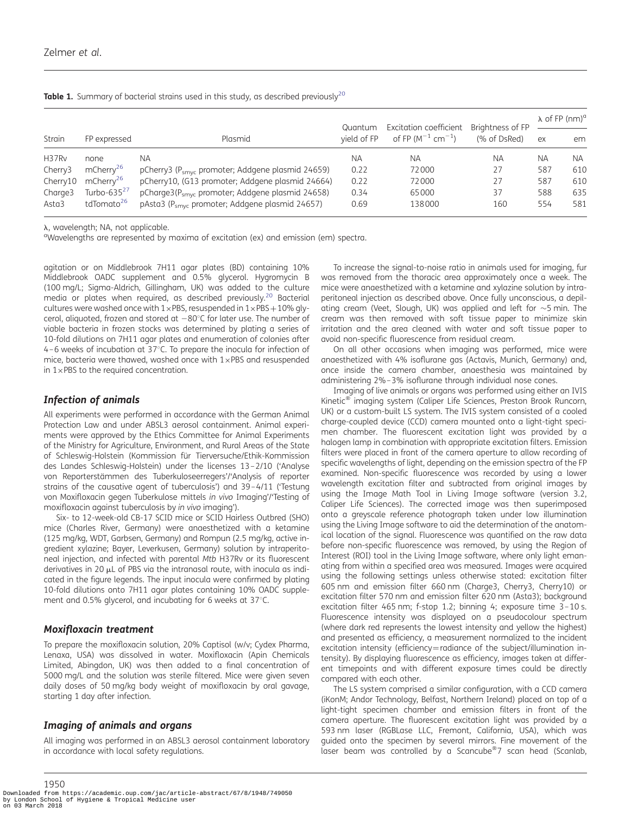<span id="page-2-0"></span>

|  |  |  |  | Table 1. Summary of bacterial strains used in this study, as described previously <sup>20</sup> |  |  |
|--|--|--|--|-------------------------------------------------------------------------------------------------|--|--|
|--|--|--|--|-------------------------------------------------------------------------------------------------|--|--|

|                     |                        |                                                              | Quantum     | <b>Excitation coefficient</b>             | Brightness of FP | $\lambda$ of FP (nm) <sup>a</sup> |     |
|---------------------|------------------------|--------------------------------------------------------------|-------------|-------------------------------------------|------------------|-----------------------------------|-----|
| Strain              | FP expressed           | Plasmid                                                      | vield of FP | of FP (M <sup>-1</sup> cm <sup>-1</sup> ) | (% of DsRed)     | ex                                | em  |
| H37Rv               | none                   | ΝA                                                           | NA.         | NА                                        | ΝA               | ΝA                                | NA. |
| Cherry3             | mCherry <sup>26</sup>  | pCherry3 (P <sub>smyc</sub> promoter; Addgene plasmid 24659) | 0.22        | 72000                                     | 27               | 587                               | 610 |
| Cherry10            | mCherry <sup>26</sup>  | pCherry10, (G13 promoter; Addgene plasmid 24664)             | 0.22        | 72000                                     | 27               | 587                               | 610 |
| Charge <sub>3</sub> | Turbo-635 $2/$         | pCharge3(P <sub>smyc</sub> promoter; Addgene plasmid 24658)  | 0.34        | 65000                                     | 37               | 588                               | 635 |
| Asta3               | tdTomato <sup>26</sup> | pAsta3 (P <sub>smvc</sub> promoter; Addgene plasmid 24657)   | 0.69        | 138000                                    | 160              | 554                               | 581 |

λ, wavelength; NA, not applicable.

<sup>a</sup>Wavelengths are represented by maxima of excitation (ex) and emission (em) spectra.

agitation or on Middlebrook 7H11 agar plates (BD) containing 10% Middlebrook OADC supplement and 0.5% glycerol. Hygromycin B (100 mg/L; Sigma-Aldrich, Gillingham, UK) was added to the culture media or plates when required, as described previously.<sup>[20](#page-11-0)</sup> Bacterial cultures were washed once with  $1 \times PBS$ , resuspended in  $1 \times PBS + 10\%$  glycerol, aliquoted, frozen and stored at  $-80^{\circ}$ C for later use. The number of viable bacteria in frozen stocks was determined by plating a series of 10-fold dilutions on 7H11 agar plates and enumeration of colonies after  $4 - 6$  weeks of incubation at 37 $^{\circ}$ C. To prepare the inocula for infection of mice, bacteria were thawed, washed once with  $1 \times PBS$  and resuspended in  $1 \times$ PBS to the required concentration.

#### Infection of animals

All experiments were performed in accordance with the German Animal Protection Law and under ABSL3 aerosol containment. Animal experiments were approved by the Ethics Committee for Animal Experiments of the Ministry for Agriculture, Environment, and Rural Areas of the State of Schleswig-Holstein (Kommission für Tierversuche/Ethik-Kommission des Landes Schleswig-Holstein) under the licenses 13–2/10 ('Analyse von Reporterstämmen des Tuberkuloseerregers'/'Analysis of reporter strains of the causative agent of tuberculosis') and 39 –4/11 ('Testung von Moxifloxacin gegen Tuberkulose mittels in vivo Imaging'/'Testing of moxifloxacin against tuberculosis by in vivo imaging').

Six- to 12-week-old CB-17 SCID mice or SCID Hairless Outbred (SHO) mice (Charles River, Germany) were anaesthetized with a ketamine (125 mg/kg, WDT, Garbsen, Germany) and Rompun (2.5 mg/kg, active ingredient xylazine; Bayer, Leverkusen, Germany) solution by intraperitoneal injection, and infected with parental Mtb H37Rv or its fluorescent derivatives in 20  $\mu$ L of PBS via the intranasal route, with inocula as indicated in the figure legends. The input inocula were confirmed by plating 10-fold dilutions onto 7H11 agar plates containing 10% OADC supplement and 0.5% glycerol, and incubating for 6 weeks at  $37^{\circ}$ C.

#### Moxifloxacin treatment

To prepare the moxifloxacin solution, 20% Captisol (w/v; Cydex Pharma, Lenaxa, USA) was dissolved in water. Moxifloxacin (Apin Chemicals Limited, Abingdon, UK) was then added to a final concentration of 5000 mg/L and the solution was sterile filtered. Mice were given seven daily doses of 50 mg/kg body weight of moxifloxacin by oral gavage, starting 1 day after infection.

#### Imaging of animals and organs

All imaging was performed in an ABSL3 aerosol containment laboratory in accordance with local safety regulations.

To increase the signal-to-noise ratio in animals used for imaging, fur was removed from the thoracic area approximately once a week. The mice were anaesthetized with a ketamine and xylazine solution by intraperitoneal injection as described above. Once fully unconscious, a depilating cream (Veet, Slough, UK) was applied and left for  $\sim$ 5 min. The cream was then removed with soft tissue paper to minimize skin irritation and the area cleaned with water and soft tissue paper to avoid non-specific fluorescence from residual cream.

On all other occasions when imaging was performed, mice were anaesthetized with 4% isoflurane gas (Actavis, Munich, Germany) and, once inside the camera chamber, anaesthesia was maintained by administering 2%–3% isoflurane through individual nose cones.

Imaging of live animals or organs was performed using either an IVIS Kinetic<sup>®</sup> imaging system (Caliper Life Sciences, Preston Brook Runcorn, UK) or a custom-built LS system. The IVIS system consisted of a cooled charge-coupled device (CCD) camera mounted onto a light-tight specimen chamber. The fluorescent excitation light was provided by a halogen lamp in combination with appropriate excitation filters. Emission filters were placed in front of the camera aperture to allow recording of specific wavelengths of light, depending on the emission spectra of the FP examined. Non-specific fluorescence was recorded by using a lower wavelength excitation filter and subtracted from original images by using the Image Math Tool in Living Image software (version 3.2, Caliper Life Sciences). The corrected image was then superimposed onto a greyscale reference photograph taken under low illumination using the Living Image software to aid the determination of the anatomical location of the signal. Fluorescence was quantified on the raw data before non-specific fluorescence was removed, by using the Region of Interest (ROI) tool in the Living Image software, where only light emanating from within a specified area was measured. Images were acquired using the following settings unless otherwise stated: excitation filter 605 nm and emission filter 660 nm (Charge3, Cherry3, Cherry10) or excitation filter 570 nm and emission filter 620 nm (Asta3); background excitation filter 465 nm; f-stop 1.2; binning 4; exposure time 3 –10 s. Fluorescence intensity was displayed on a pseudocolour spectrum (where dark red represents the lowest intensity and yellow the highest) and presented as efficiency, a measurement normalized to the incident excitation intensity (efficiency=radiance of the subject/illumination intensity). By displaying fluorescence as efficiency, images taken at different timepoints and with different exposure times could be directly compared with each other.

The LS system comprised a similar configuration, with a CCD camera (iKonM; Andor Technology, Belfast, Northern Ireland) placed on top of a light-tight specimen chamber and emission filters in front of the camera aperture. The fluorescent excitation light was provided by a 593 nm laser (RGBLase LLC, Fremont, California, USA), which was guided onto the specimen by several mirrors. Fine movement of the laser beam was controlled by a Scancube<sup>®</sup>7 scan head (Scanlab,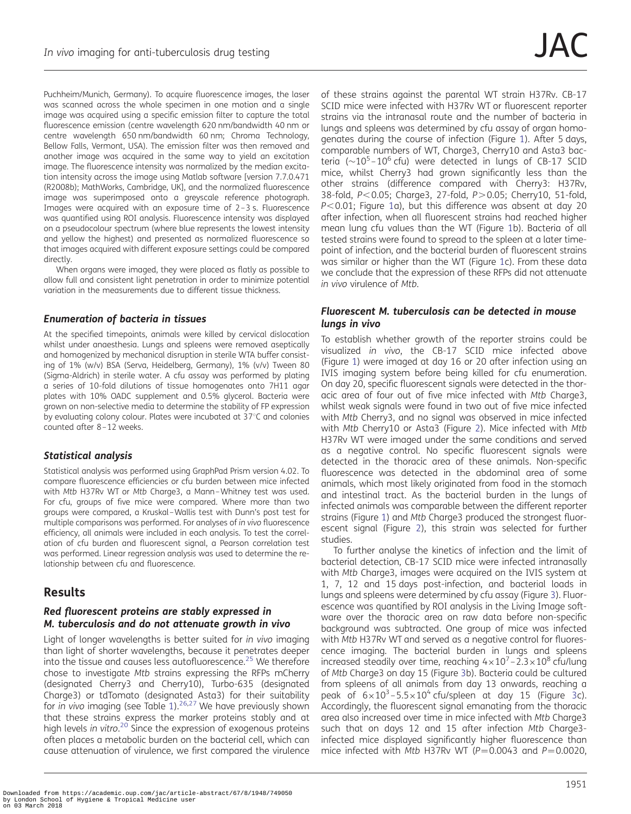Puchheim/Munich, Germany). To acquire fluorescence images, the laser was scanned across the whole specimen in one motion and a single image was acquired using a specific emission filter to capture the total fluorescence emission (centre wavelength 620 nm/bandwidth 40 nm or centre wavelength 650 nm/bandwidth 60 nm; Chroma Technology, Bellow Falls, Vermont, USA). The emission filter was then removed and another image was acquired in the same way to yield an excitation image. The fluorescence intensity was normalized by the median excitation intensity across the image using Matlab software [version 7.7.0.471 (R2008b); MathWorks, Cambridge, UK], and the normalized fluorescence image was superimposed onto a greyscale reference photograph. Images were acquired with an exposure time of 2–3 s. Fluorescence was quantified using ROI analysis. Fluorescence intensity was displayed on a pseudocolour spectrum (where blue represents the lowest intensity and yellow the highest) and presented as normalized fluorescence so that images acquired with different exposure settings could be compared directly.

When organs were imaged, they were placed as flatly as possible to allow full and consistent light penetration in order to minimize potential variation in the measurements due to different tissue thickness.

### Enumeration of bacteria in tissues

At the specified timepoints, animals were killed by cervical dislocation whilst under anaesthesia. Lungs and spleens were removed aseptically and homogenized by mechanical disruption in sterile WTA buffer consisting of 1% (w/v) BSA (Serva, Heidelberg, Germany), 1% (v/v) Tween 80 (Sigma-Aldrich) in sterile water. A cfu assay was performed by plating a series of 10-fold dilutions of tissue homogenates onto 7H11 agar plates with 10% OADC supplement and 0.5% glycerol. Bacteria were grown on non-selective media to determine the stability of FP expression by evaluating colony colour. Plates were incubated at  $37^{\circ}$ C and colonies counted after 8 –12 weeks.

## Statistical analysis

Statistical analysis was performed using GraphPad Prism version 4.02. To compare fluorescence efficiencies or cfu burden between mice infected with Mtb H37Rv WT or Mtb Charge3, a Mann–Whitney test was used. For cfu, groups of five mice were compared. Where more than two groups were compared, a Kruskal–Wallis test with Dunn's post test for multiple comparisons was performed. For analyses of in vivo fluorescence efficiency, all animals were included in each analysis. To test the correlation of cfu burden and fluorescent signal, a Pearson correlation test was performed. Linear regression analysis was used to determine the relationship between cfu and fluorescence.

# Results

### Red fluorescent proteins are stably expressed in M. tuberculosis and do not attenuate growth in vivo

Light of longer wavelengths is better suited for in vivo imaging than light of shorter wavelengths, because it penetrates deeper into the tissue and causes less autofluorescence.<sup>25</sup> We therefore chose to investigate Mtb strains expressing the RFPs mCherry (designated Cherry3 and Cherry10), Turbo-635 (designated Charge3) or tdTomato (designated Asta3) for their suitability for in vivo imaging (see Table  $1$ ).<sup>[26](#page-11-0)[,27](#page-12-0)</sup> We have previously shown that these strains express the marker proteins stably and at high levels in vitro.<sup>[20](#page-11-0)</sup> Since the expression of exogenous proteins often places a metabolic burden on the bacterial cell, which can cause attenuation of virulence, we first compared the virulence

of these strains against the parental WT strain H37Rv. CB-17 SCID mice were infected with H37Rv WT or fluorescent reporter strains via the intranasal route and the number of bacteria in lungs and spleens was determined by cfu assay of organ homogenates during the course of infection (Figure [1\)](#page-4-0). After 5 days, comparable numbers of WT, Charge3, Cherry10 and Asta3 bacteria  $(\sim 10^5 - 10^6 \text{ cftu})$  were detected in lungs of CB-17 SCID mice, whilst Cherry3 had grown significantly less than the other strains (difference compared with Cherry3: H37Rv, 38-fold, P<0.05; Charge3, 27-fold, P>0.05; Cherry10, 51-fold,  $P<0.01$ ; Figure [1a](#page-4-0)), but this difference was absent at day 20 after infection, when all fluorescent strains had reached higher mean lung cfu values than the WT (Figure [1](#page-4-0)b). Bacteria of all tested strains were found to spread to the spleen at a later timepoint of infection, and the bacterial burden of fluorescent strains was similar or higher than the WT (Figure [1](#page-4-0)c). From these data we conclude that the expression of these RFPs did not attenuate in vivo virulence of Mtb.

## Fluorescent M. tuberculosis can be detected in mouse lungs in vivo

To establish whether growth of the reporter strains could be visualized in vivo, the CB-17 SCID mice infected above (Figure [1\)](#page-4-0) were imaged at day 16 or 20 after infection using an IVIS imaging system before being killed for cfu enumeration. On day 20, specific fluorescent signals were detected in the thoracic area of four out of five mice infected with Mtb Charge3, whilst weak signals were found in two out of five mice infected with Mtb Cherry3, and no signal was observed in mice infected with Mtb Cherry10 or Asta3 (Figure [2](#page-5-0)). Mice infected with Mtb H37Rv WT were imaged under the same conditions and served as a negative control. No specific fluorescent signals were detected in the thoracic area of these animals. Non-specific fluorescence was detected in the abdominal area of some animals, which most likely originated from food in the stomach and intestinal tract. As the bacterial burden in the lungs of infected animals was comparable between the different reporter strains (Figure [1](#page-4-0)) and Mtb Charge3 produced the strongest fluorescent signal (Figure [2\)](#page-5-0), this strain was selected for further studies.

To further analyse the kinetics of infection and the limit of bacterial detection, CB-17 SCID mice were infected intranasally with Mtb Charge3, images were acquired on the IVIS system at 1, 7, 12 and 15 days post-infection, and bacterial loads in lungs and spleens were determined by cfu assay (Figure [3\)](#page-6-0). Fluorescence was quantified by ROI analysis in the Living Image software over the thoracic area on raw data before non-specific background was subtracted. One group of mice was infected with Mtb H37Rv WT and served as a negative control for fluorescence imaging. The bacterial burden in lungs and spleens increased steadily over time, reaching  $4 \times 10^7$  – 2.3 $\times 10^8$  cfu/lung of Mtb Charge3 on day 15 (Figure [3b](#page-6-0)). Bacteria could be cultured from spleens of all animals from day 13 onwards, reaching a peak of  $6 \times 10^3 - 5.5 \times 10^4$  $6 \times 10^3 - 5.5 \times 10^4$  $6 \times 10^3 - 5.5 \times 10^4$  cfu/spleen at day 15 (Figure 3c). Accordingly, the fluorescent signal emanating from the thoracic area also increased over time in mice infected with Mtb Charge3 such that on days 12 and 15 after infection Mtb Charge3 infected mice displayed significantly higher fluorescence than mice infected with Mtb H37Rv WT ( $P = 0.0043$  and  $P = 0.0020$ ,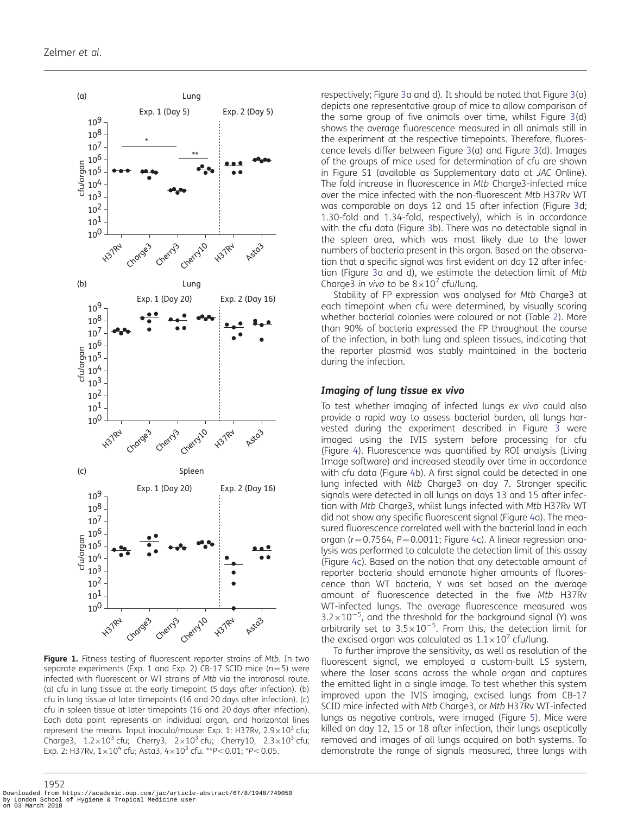<span id="page-4-0"></span>

Figure 1. Fitness testing of fluorescent reporter strains of Mtb. In two separate experiments (Exp. 1 and Exp. 2) CB-17 SCID mice ( $n=5$ ) were infected with fluorescent or WT strains of Mtb via the intranasal route. (a) cfu in lung tissue at the early timepoint (5 days after infection). (b) cfu in lung tissue at later timepoints (16 and 20 days after infection). (c) cfu in spleen tissue at later timepoints (16 and 20 days after infection). Each data point represents an individual organ, and horizontal lines represent the means. Input inocula/mouse: Exp. 1: H37Rv,  $2.9 \times 10^3$  cfu; Charge3,  $1.2 \times 10^3$  cfu; Cherry3,  $2 \times 10^3$  cfu; Cherry10,  $2.3 \times 10^3$  cfu; Exp. 2: H37Rv,  $1 \times 10^4$  cfu; Asta3,  $4 \times 10^3$  cfu. \*\*P<0.01; \*P<0.05.

respectively; Figure [3a](#page-6-0) and d). It should be noted that Figure [3\(](#page-6-0)a) depicts one representative group of mice to allow comparison of the same group of five animals over time, whilst Figure [3\(](#page-6-0)d) shows the average fluorescence measured in all animals still in the experiment at the respective timepoints. Therefore, fluorescence levels differ between Figure [3](#page-6-0)(a) and Figure [3](#page-6-0)(d). Images of the groups of mice used for determination of cfu are shown in [Figure S1 \(available as Supplementary data at](http://jac.oxfordjournals.org/lookup/suppl/doi:10.1093/jac/dks161/-/DC1) JAC Online). The fold increase in fluorescence in Mtb Charge3-infected mice over the mice infected with the non-fluorescent Mtb H37Rv WT was comparable on days 12 and 15 after infection (Figure [3](#page-6-0)d; 1.30-fold and 1.34-fold, respectively), which is in accordance with the cfu data (Figure [3](#page-6-0)b). There was no detectable signal in the spleen area, which was most likely due to the lower numbers of bacteria present in this organ. Based on the observation that a specific signal was first evident on day 12 after infection (Figure [3a](#page-6-0) and d), we estimate the detection limit of Mtb Charge3 in vivo to be  $8 \times 10^7$  cfu/lung.

Stability of FP expression was analysed for Mtb Charge3 at each timepoint when cfu were determined, by visually scoring whether bacterial colonies were coloured or not (Table [2\)](#page-7-0). More than 90% of bacteria expressed the FP throughout the course of the infection, in both lung and spleen tissues, indicating that the reporter plasmid was stably maintained in the bacteria during the infection.

#### Imaging of lung tissue ex vivo

To test whether imaging of infected lungs ex vivo could also provide a rapid way to assess bacterial burden, all lungs harvested during the experiment described in Figure [3](#page-6-0) were imaged using the IVIS system before processing for cfu (Figure [4\)](#page-7-0). Fluorescence was quantified by ROI analysis (Living Image software) and increased steadily over time in accordance with cfu data (Figure [4](#page-7-0)b). A first signal could be detected in one lung infected with Mtb Charge3 on day 7. Stronger specific signals were detected in all lungs on days 13 and 15 after infection with Mtb Charge3, whilst lungs infected with Mtb H37Rv WT did not show any specific fluorescent signal (Figure [4](#page-7-0)a). The measured fluorescence correlated well with the bacterial load in each organ ( $r = 0.7564$ ,  $P = 0.0011$ ; Figure [4c](#page-7-0)). A linear regression analysis was performed to calculate the detection limit of this assay (Figure [4c](#page-7-0)). Based on the notion that any detectable amount of reporter bacteria should emanate higher amounts of fluorescence than WT bacteria, Y was set based on the average amount of fluorescence detected in the five Mtb H37Rv WT-infected lungs. The average fluorescence measured was  $3.2 \times 10^{-5}$ , and the threshold for the background signal (Y) was arbitrarily set to  $3.5 \times 10^{-5}$ . From this, the detection limit for the excised organ was calculated as  $1.1 \times 10^7$  cfu/lung.

To further improve the sensitivity, as well as resolution of the fluorescent signal, we employed a custom-built LS system, where the laser scans across the whole organ and captures the emitted light in a single image. To test whether this system improved upon the IVIS imaging, excised lungs from CB-17 SCID mice infected with Mtb Charge3, or Mtb H37Rv WT-infected lungs as negative controls, were imaged (Figure [5\)](#page-8-0). Mice were killed on day 12, 15 or 18 after infection, their lungs aseptically removed and images of all lungs acquired on both systems. To demonstrate the range of signals measured, three lungs with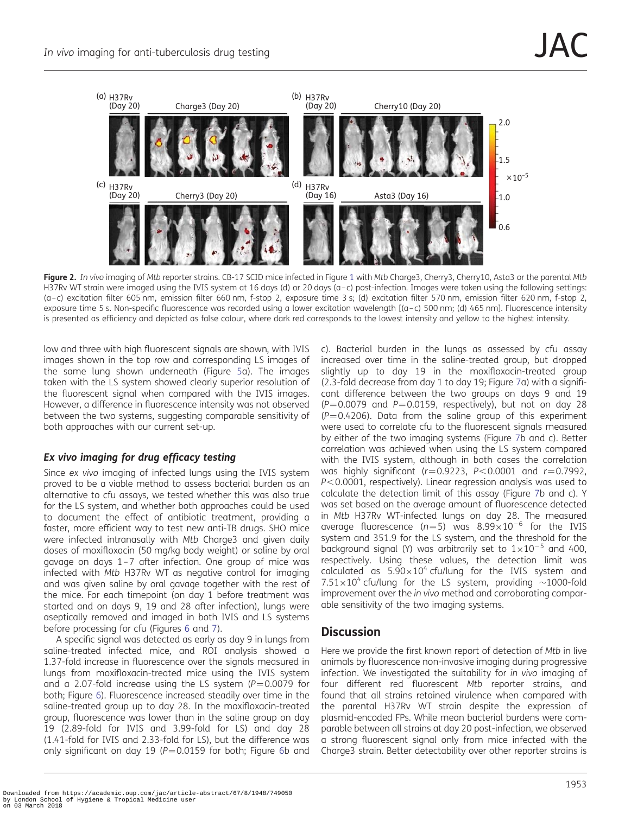<span id="page-5-0"></span>

Figure 2. In vivo imaging of Mtb reporter strains. CB-[1](#page-4-0)7 SCID mice infected in Figure 1 with Mtb Charge3, Cherry3, Cherry10, Asta3 or the parental Mtb H37Rv WT strain were imaged using the IVIS system at 16 days (d) or 20 days (a-c) post-infection. Images were taken using the following settings: (a –c) excitation filter 605 nm, emission filter 660 nm, f-stop 2, exposure time 3 s; (d) excitation filter 570 nm, emission filter 620 nm, f-stop 2, exposure time 5 s. Non-specific fluorescence was recorded using a lower excitation wavelength [(a-c) 500 nm; (d) 465 nm]. Fluorescence intensity is presented as efficiency and depicted as false colour, where dark red corresponds to the lowest intensity and yellow to the highest intensity.

low and three with high fluorescent signals are shown, with IVIS images shown in the top row and corresponding LS images of the same lung shown underneath (Figure [5](#page-8-0)a). The images taken with the LS system showed clearly superior resolution of the fluorescent signal when compared with the IVIS images. However, a difference in fluorescence intensity was not observed between the two systems, suggesting comparable sensitivity of both approaches with our current set-up.

## Ex vivo imaging for drug efficacy testing

Since ex vivo imaging of infected lungs using the IVIS system proved to be a viable method to assess bacterial burden as an alternative to cfu assays, we tested whether this was also true for the LS system, and whether both approaches could be used to document the effect of antibiotic treatment, providing a faster, more efficient way to test new anti-TB drugs. SHO mice were infected intranasally with Mtb Charge3 and given daily doses of moxifloxacin (50 mg/kg body weight) or saline by oral gavage on days 1 –7 after infection. One group of mice was infected with Mtb H37Rv WT as negative control for imaging and was given saline by oral gavage together with the rest of the mice. For each timepoint (on day 1 before treatment was started and on days 9, 19 and 28 after infection), lungs were aseptically removed and imaged in both IVIS and LS systems before processing for cfu (Figures [6](#page-9-0) and [7\)](#page-10-0).

A specific signal was detected as early as day 9 in lungs from saline-treated infected mice, and ROI analysis showed a 1.37-fold increase in fluorescence over the signals measured in lungs from moxifloxacin-treated mice using the IVIS system and a 2.07-fold increase using the LS system  $(P=0.0079$  for both; Figure [6](#page-9-0)). Fluorescence increased steadily over time in the saline-treated group up to day 28. In the moxifloxacin-treated group, fluorescence was lower than in the saline group on day 19 (2.89-fold for IVIS and 3.99-fold for LS) and day 28 (1.41-fold for IVIS and 2.33-fold for LS), but the difference was only significant on day 19 ( $P = 0.0159$  for both; Figure [6](#page-9-0)b and

c). Bacterial burden in the lungs as assessed by cfu assay increased over time in the saline-treated group, but dropped slightly up to day 19 in the moxifloxacin-treated group (2.3-fold decrease from day 1 to day 19; Figure [7a](#page-10-0)) with a significant difference between the two groups on days 9 and 19  $(P=0.0079$  and  $P=0.0159$ , respectively), but not on day 28  $(P=0.4206)$ . Data from the saline group of this experiment were used to correlate cfu to the fluorescent signals measured by either of the two imaging systems (Figure [7](#page-10-0)b and c). Better correlation was achieved when using the LS system compared with the IVIS system, although in both cases the correlation was highly significant ( $r=0.9223$ ,  $P<0.0001$  and  $r=0.7992$ ,  $P<0.0001$ , respectively). Linear regression analysis was used to calculate the detection limit of this assay (Figure [7b](#page-10-0) and c). Y was set based on the average amount of fluorescence detected in Mtb H37Rv WT-infected lungs on day 28. The measured average fluorescence ( $n=5$ ) was  $8.99 \times 10^{-6}$  for the IVIS system and 351.9 for the LS system, and the threshold for the background signal (Y) was arbitrarily set to  $1 \times 10^{-5}$  and 400, respectively. Using these values, the detection limit was calculated as  $5.90\times10^4$  cfu/lung for the IVIS system and  $7.51\times10^4$  cfu/lung for the LS system, providing  $\sim$ 1000-fold improvement over the in vivo method and corroborating comparable sensitivity of the two imaging systems.

## **Discussion**

Here we provide the first known report of detection of Mtb in live animals by fluorescence non-invasive imaging during progressive infection. We investigated the suitability for in vivo imaging of four different red fluorescent Mtb reporter strains, and found that all strains retained virulence when compared with the parental H37Rv WT strain despite the expression of plasmid-encoded FPs. While mean bacterial burdens were comparable between all strains at day 20 post-infection, we observed a strong fluorescent signal only from mice infected with the Charge3 strain. Better detectability over other reporter strains is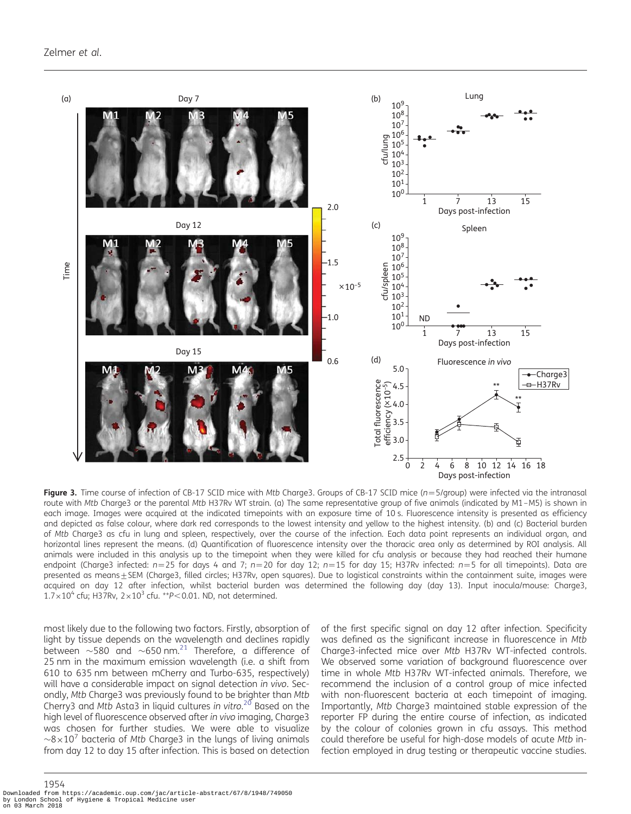<span id="page-6-0"></span>

Figure 3. Time course of infection of CB-17 SCID mice with Mtb Charge3. Groups of CB-17 SCID mice ( $n = 5$ /group) were infected via the intranasal route with Mtb Charge3 or the parental Mtb H37Rv WT strain. (a) The same representative group of five animals (indicated by M1-M5) is shown in each image. Images were acquired at the indicated timepoints with an exposure time of 10 s. Fluorescence intensity is presented as efficiency and depicted as false colour, where dark red corresponds to the lowest intensity and yellow to the highest intensity. (b) and (c) Bacterial burden of Mtb Charge3 as cfu in lung and spleen, respectively, over the course of the infection. Each data point represents an individual organ, and horizontal lines represent the means. (d) Quantification of fluorescence intensity over the thoracic area only as determined by ROI analysis. All animals were included in this analysis up to the timepoint when they were killed for cfu analysis or because they had reached their humane endpoint (Charge3 infected:  $n=25$  for days 4 and 7;  $n=20$  for day 12;  $n=15$  for day 15; H37Rv infected:  $n=5$  for all timepoints). Data are presented as means+SEM (Charge3, filled circles; H37Rv, open squares). Due to logistical constraints within the containment suite, images were acquired on day 12 after infection, whilst bacterial burden was determined the following day (day 13). Input inocula/mouse: Charge3,  $1.7\times10^4$  cfu; H37Rv,  $2\times10^3$  cfu. \*\*P<0.01. ND, not determined.

most likely due to the following two factors. Firstly, absorption of light by tissue depends on the wavelength and declines rapidly between  $\sim$ 580 and  $\sim$ 650 nm.<sup>[21](#page-11-0)</sup> Therefore, a difference of 25 nm in the maximum emission wavelength (i.e. a shift from 610 to 635 nm between mCherry and Turbo-635, respectively) will have a considerable impact on signal detection in vivo. Secondly, Mtb Charge3 was previously found to be brighter than Mtb Cherry3 and Mtb Asta3 in liquid cultures in vitro. $^{20}$  $^{20}$  $^{20}$  Based on the high level of fluorescence observed after in vivo imaging, Charge3 was chosen for further studies. We were able to visualize  $\sim$ 8×10<sup>7</sup> bacteria of Mtb Charge3 in the lungs of living animals from day 12 to day 15 after infection. This is based on detection

of the first specific signal on day 12 after infection. Specificity was defined as the significant increase in fluorescence in Mtb Charge3-infected mice over Mtb H37Rv WT-infected controls. We observed some variation of background fluorescence over time in whole Mtb H37Rv WT-infected animals. Therefore, we recommend the inclusion of a control group of mice infected with non-fluorescent bacteria at each timepoint of imaging. Importantly, Mtb Charge3 maintained stable expression of the reporter FP during the entire course of infection, as indicated by the colour of colonies grown in cfu assays. This method could therefore be useful for high-dose models of acute Mtb infection employed in drug testing or therapeutic vaccine studies.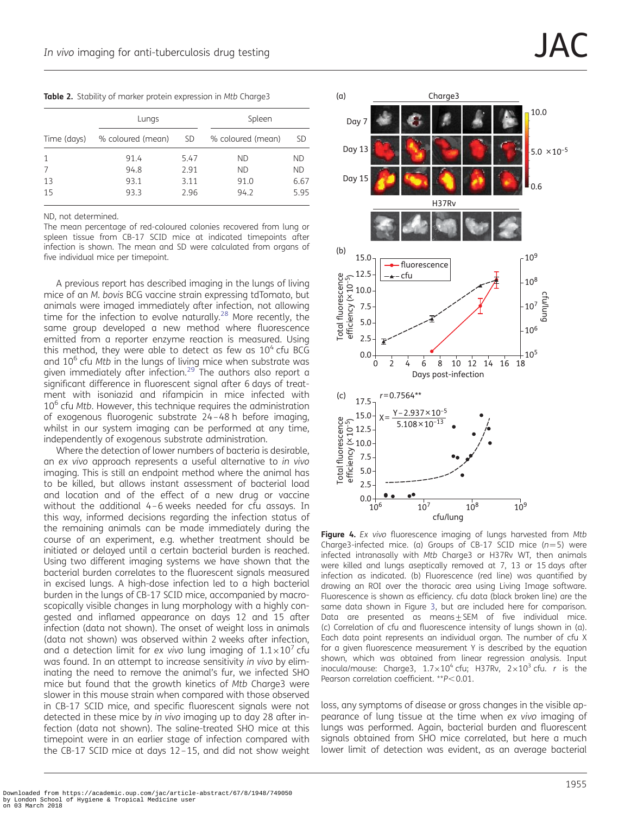<span id="page-7-0"></span>

|  |  | Table 2. Stability of marker protein expression in Mtb Charge3 |  |  |  |  |  |  |
|--|--|----------------------------------------------------------------|--|--|--|--|--|--|
|--|--|----------------------------------------------------------------|--|--|--|--|--|--|

|             | Lungs             |      | Spleen            |           |  |
|-------------|-------------------|------|-------------------|-----------|--|
| Time (days) | % coloured (mean) | SD.  | % coloured (mean) | <b>SD</b> |  |
|             | 91.4              | 5.47 | ND.               | ND        |  |
|             | 94.8              | 2.91 | <b>ND</b>         | <b>ND</b> |  |
| 13          | 93.1              | 3.11 | 91.0              | 6.67      |  |
| 15          | 93.3              | 2.96 | 94.2              | 5.95      |  |

ND, not determined.

The mean percentage of red-coloured colonies recovered from lung or spleen tissue from CB-17 SCID mice at indicated timepoints after infection is shown. The mean and SD were calculated from organs of five individual mice per timepoint. 15.0

A previous report has described imaging in the lungs of living mice of an M. bovis BCG vaccine strain expressing tdTomato, but animals were imaged immediately after infection, not allowing time for the infection to evolve naturally.<sup>28</sup> More recently, the same group developed a new method where fluorescence emitted from a reporter enzyme reaction is measured. Using this method, they were able to detect as few as  $10<sup>4</sup>$  cfu BCG and  $10<sup>6</sup>$  cfu Mtb in the lungs of living mice when substrate was given immediately after infection.<sup>[29](#page-12-0)</sup> The authors also report a significant difference in fluorescent signal after 6 days of treatment with isoniazid and rifampicin in mice infected with 10<sup>6</sup> cfu Mtb. However, this technique requires the administration of exogenous fluorogenic substrate 24 –48 h before imaging, whilst in our system imaging can be performed at any time, independently of exogenous substrate administration.

Where the detection of lower numbers of bacteria is desirable, an ex vivo approach represents a useful alternative to in vivo imaging. This is still an endpoint method where the animal has to be killed, but allows instant assessment of bacterial load and location and of the effect of a new drug or vaccine without the additional 4 –6 weeks needed for cfu assays. In this way, informed decisions regarding the infection status of the remaining animals can be made immediately during the course of an experiment, e.g. whether treatment should be initiated or delayed until a certain bacterial burden is reached. Using two different imaging systems we have shown that the bacterial burden correlates to the fluorescent signals measured in excised lungs. A high-dose infection led to a high bacterial burden in the lungs of CB-17 SCID mice, accompanied by macroscopically visible changes in lung morphology with a highly congested and inflamed appearance on days 12 and 15 after infection (data not shown). The onset of weight loss in animals (data not shown) was observed within 2 weeks after infection, and a detection limit for ex vivo lung imaging of  $1.1 \times 10^{7}$  cfu was found. In an attempt to increase sensitivity in vivo by eliminating the need to remove the animal's fur, we infected SHO mice but found that the growth kinetics of Mtb Charge3 were slower in this mouse strain when compared with those observed in CB-17 SCID mice, and specific fluorescent signals were not detected in these mice by in vivo imaging up to day 28 after infection (data not shown). The saline-treated SHO mice at this timepoint were in an earlier stage of infection compared with the CB-17 SCID mice at days 12 –15, and did not show weight



Figure 4. Ex vivo fluorescence imaging of lungs harvested from Mtb Charge3-infected mice. (a) Groups of CB-17 SCID mice  $(n=5)$  were infected intranasally with Mtb Charge3 or H37Rv WT, then animals were killed and lungs aseptically removed at 7, 13 or 15 days after infection as indicated. (b) Fluorescence (red line) was quantified by drawing an ROI over the thoracic area using Living Image software. Fluorescence is shown as efficiency. cfu data (black broken line) are the same data shown in Figure [3,](#page-6-0) but are included here for comparison. Data are presented as means $\pm$ SEM of five individual mice. (c) Correlation of cfu and fluorescence intensity of lungs shown in (a). Each data point represents an individual organ. The number of cfu X for a given fluorescence measurement Y is described by the equation shown, which was obtained from linear regression analysis. Input inocula/mouse: Charge3,  $1.7 \times 10^4$  cfu; H37Rv,  $2 \times 10^3$  cfu. r is the Pearson correlation coefficient.  $*P<0.01$ .

loss, any symptoms of disease or gross changes in the visible appearance of lung tissue at the time when ex vivo imaging of lungs was performed. Again, bacterial burden and fluorescent signals obtained from SHO mice correlated, but here a much lower limit of detection was evident, as an average bacterial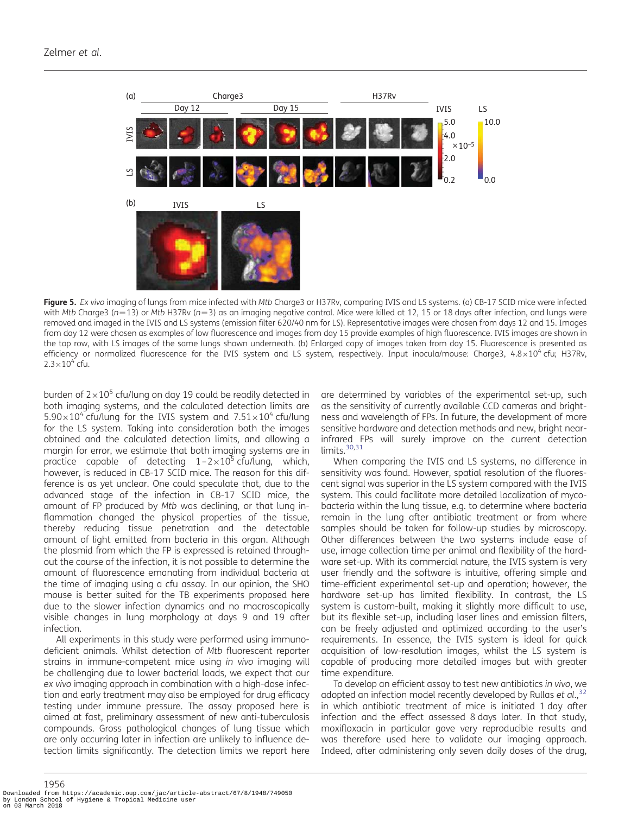<span id="page-8-0"></span>

Figure 5. Ex vivo imaging of lungs from mice infected with Mtb Charge3 or H37Rv, comparing IVIS and LS systems. (a) CB-17 SCID mice were infected with Mtb Charge3 (n=13) or Mtb H37Rv (n=3) as an imaging negative control. Mice were killed at 12, 15 or 18 days after infection, and lungs were removed and imaged in the IVIS and LS systems (emission filter 620/40 nm for LS). Representative images were chosen from days 12 and 15. Images from day 12 were chosen as examples of low fluorescence and images from day 15 provide examples of high fluorescence. IVIS images are shown in the top row, with LS images of the same lungs shown underneath. (b) Enlarged copy of images taken from day 15. Fluorescence is presented as efficiency or normalized fluorescence for the IVIS system and LS system, respectively. Input inocula/mouse: Charge3,  $4.8 \times 10^4$  cfu; H37Rv,  $2.3 \times 10^{4}$  cfu.

burden of  $2\times10^5$  cfu/lung on day 19 could be readily detected in both imaging systems, and the calculated detection limits are  $5.90\times10^4$  cfu/lung for the IVIS system and  $7.51\times10^4$  cfu/lung for the LS system. Taking into consideration both the images obtained and the calculated detection limits, and allowing a margin for error, we estimate that both imaging systems are in practice capable of detecting  $1 - 2 \times 10^5$  cfu/lung, which, however, is reduced in CB-17 SCID mice. The reason for this difference is as yet unclear. One could speculate that, due to the advanced stage of the infection in CB-17 SCID mice, the amount of FP produced by Mtb was declining, or that lung inflammation changed the physical properties of the tissue, thereby reducing tissue penetration and the detectable amount of light emitted from bacteria in this organ. Although the plasmid from which the FP is expressed is retained throughout the course of the infection, it is not possible to determine the amount of fluorescence emanating from individual bacteria at the time of imaging using a cfu assay. In our opinion, the SHO mouse is better suited for the TB experiments proposed here due to the slower infection dynamics and no macroscopically visible changes in lung morphology at days 9 and 19 after infection.

All experiments in this study were performed using immunodeficient animals. Whilst detection of Mtb fluorescent reporter strains in immune-competent mice using in vivo imaging will be challenging due to lower bacterial loads, we expect that our ex vivo imaging approach in combination with a high-dose infection and early treatment may also be employed for drug efficacy testing under immune pressure. The assay proposed here is aimed at fast, preliminary assessment of new anti-tuberculosis compounds. Gross pathological changes of lung tissue which are only occurring later in infection are unlikely to influence detection limits significantly. The detection limits we report here

are determined by variables of the experimental set-up, such as the sensitivity of currently available CCD cameras and brightness and wavelength of FPs. In future, the development of more sensitive hardware and detection methods and new, bright nearinfrared FPs will surely improve on the current detection limits.<sup>[30](#page-12-0),[31](#page-12-0)</sup>

When comparing the IVIS and LS systems, no difference in sensitivity was found. However, spatial resolution of the fluorescent signal was superior in the LS system compared with the IVIS system. This could facilitate more detailed localization of mycobacteria within the lung tissue, e.g. to determine where bacteria remain in the lung after antibiotic treatment or from where samples should be taken for follow-up studies by microscopy. Other differences between the two systems include ease of use, image collection time per animal and flexibility of the hardware set-up. With its commercial nature, the IVIS system is very user friendly and the software is intuitive, offering simple and time-efficient experimental set-up and operation; however, the hardware set-up has limited flexibility. In contrast, the LS system is custom-built, making it slightly more difficult to use, but its flexible set-up, including laser lines and emission filters, can be freely adjusted and optimized according to the user's requirements. In essence, the IVIS system is ideal for quick acquisition of low-resolution images, whilst the LS system is capable of producing more detailed images but with greater time expenditure.

To develop an efficient assay to test new antibiotics in vivo, we adopted an infection model recently developed by Rullas et al.,  $32$ in which antibiotic treatment of mice is initiated 1 day after infection and the effect assessed 8 days later. In that study, moxifloxacin in particular gave very reproducible results and was therefore used here to validate our imaging approach. Indeed, after administering only seven daily doses of the drug,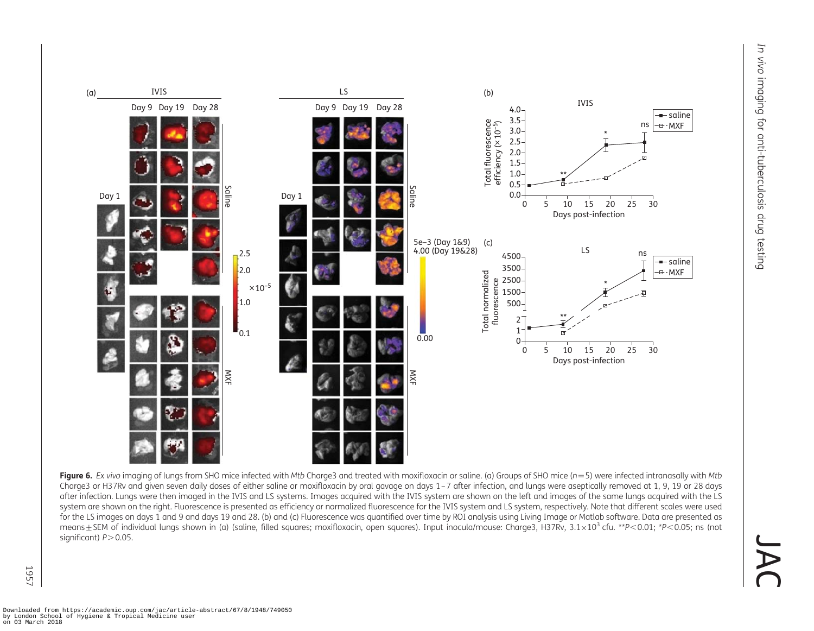$\sqrt{ }$ 

 $\bigcap$ 

<span id="page-9-0"></span>

Figure 6. Ex vivo imaging of lungs from SHO mice infected with Mtb Charge3 and treated with moxifloxacin or saline. (a) Groups of SHO mice ( $n=5$ ) were infected intranasally with Mtb Charge3 or H37Rv and given seven daily doses of either saline or moxifloxacin by oral gavage on days 1–7 after infection, and lungs were aseptically removed at 1, 9, 19 or 28 days after infection. Lungs were then imaged in the IVIS and LS systems. Images acquired with the IVIS system are shown on the left and images of the same lungs acquired with the LS system are shown on the right. Fluorescence is presented as efficiency or normalized fluorescence for the IVIS system and LS system, respectively. Note that different scales were used for the LS images on days 1 and 9 and days 19 and 28. (b) and (c) Fluorescence was quantified over time by ROI analysis using Living Image or Matlab software. Data are presented as means ± SEM of individual lungs shown in (a) (saline, filled squares; moxifloxacin, open squares). Input inocula/mouse: Charge3, H37Rv, 3.1×10<sup>3</sup> cfu. \*P<0.01; \*P<0.05; ns (not significant)  $P > 0.05$ .

1957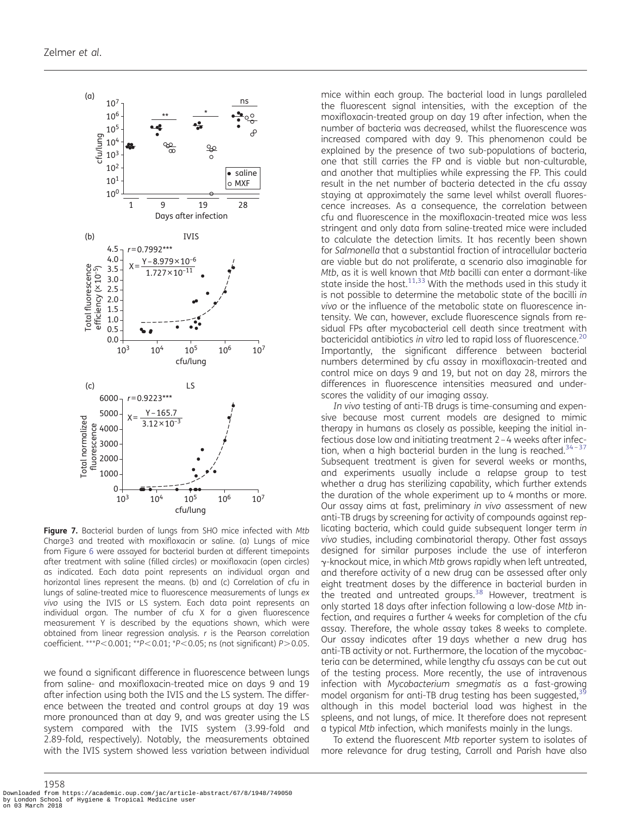<span id="page-10-0"></span>

Figure 7. Bacterial burden of lungs from SHO mice infected with Mtb Charge3 and treated with moxifloxacin or saline. (a) Lungs of mice from Figure [6](#page-9-0) were assayed for bacterial burden at different timepoints after treatment with saline (filled circles) or moxifloxacin (open circles) as indicated. Each data point represents an individual organ and horizontal lines represent the means. (b) and (c) Correlation of cfu in lungs of saline-treated mice to fluorescence measurements of lungs ex vivo using the IVIS or LS system. Each data point represents an individual organ. The number of cfu X for a given fluorescence measurement Y is described by the equations shown, which were obtained from linear regression analysis. r is the Pearson correlation coefficient. \*\*\* $P< 0.001$ ; \*\* $P< 0.01$ ; \* $P< 0.05$ ; ns (not significant) P $> 0.05$ .

we found a significant difference in fluorescence between lungs from saline- and moxifloxacin-treated mice on days 9 and 19 after infection using both the IVIS and the LS system. The difference between the treated and control groups at day 19 was more pronounced than at day 9, and was greater using the LS system compared with the IVIS system (3.99-fold and 2.89-fold, respectively). Notably, the measurements obtained with the IVIS system showed less variation between individual

mice within each group. The bacterial load in lungs paralleled the fluorescent signal intensities, with the exception of the moxifloxacin-treated group on day 19 after infection, when the number of bacteria was decreased, whilst the fluorescence was increased compared with day 9. This phenomenon could be explained by the presence of two sub-populations of bacteria, one that still carries the FP and is viable but non-culturable, and another that multiplies while expressing the FP. This could result in the net number of bacteria detected in the cfu assay staying at approximately the same level whilst overall fluorescence increases. As a consequence, the correlation between cfu and fluorescence in the moxifloxacin-treated mice was less stringent and only data from saline-treated mice were included to calculate the detection limits. It has recently been shown for Salmonella that a substantial fraction of intracellular bacteria are viable but do not proliferate, a scenario also imaginable for Mtb, as it is well known that Mtb bacilli can enter a dormant-like state inside the host. $11,33$  $11,33$  With the methods used in this study it is not possible to determine the metabolic state of the bacilli in vivo or the influence of the metabolic state on fluorescence intensity. We can, however, exclude fluorescence signals from residual FPs after mycobacterial cell death since treatment with bactericidal antibiotics in vitro led to rapid loss of fluorescence.<sup>20</sup> Importantly, the significant difference between bacterial numbers determined by cfu assay in moxifloxacin-treated and control mice on days 9 and 19, but not on day 28, mirrors the differences in fluorescence intensities measured and underscores the validity of our imaging assay.

In vivo testing of anti-TB drugs is time-consuming and expensive because most current models are designed to mimic therapy in humans as closely as possible, keeping the initial infectious dose low and initiating treatment 2 –4 weeks after infection, when a high bacterial burden in the lung is reached. $34-37$  $34-37$ Subsequent treatment is given for several weeks or months, and experiments usually include a relapse group to test whether a drug has sterilizing capability, which further extends the duration of the whole experiment up to 4 months or more. Our assay aims at fast, preliminary in vivo assessment of new anti-TB drugs by screening for activity of compounds against replicating bacteria, which could guide subsequent longer term in vivo studies, including combinatorial therapy. Other fast assays designed for similar purposes include the use of interferon  $\gamma$ -knockout mice, in which Mtb grows rapidly when left untreated, and therefore activity of a new drug can be assessed after only eight treatment doses by the difference in bacterial burden in the treated and untreated groups.<sup>[38](#page-12-0)</sup> However, treatment is only started 18 days after infection following a low-dose Mtb infection, and requires a further 4 weeks for completion of the cfu assay. Therefore, the whole assay takes 8 weeks to complete. Our assay indicates after 19 days whether a new drug has anti-TB activity or not. Furthermore, the location of the mycobacteria can be determined, while lengthy cfu assays can be cut out of the testing process. More recently, the use of intravenous infection with Mycobacterium smegmatis as a fast-growing model organism for anti-TB drug testing has been suggested, $39$ although in this model bacterial load was highest in the spleens, and not lungs, of mice. It therefore does not represent a typical Mtb infection, which manifests mainly in the lungs.

To extend the fluorescent Mtb reporter system to isolates of more relevance for drug testing, Carroll and Parish have also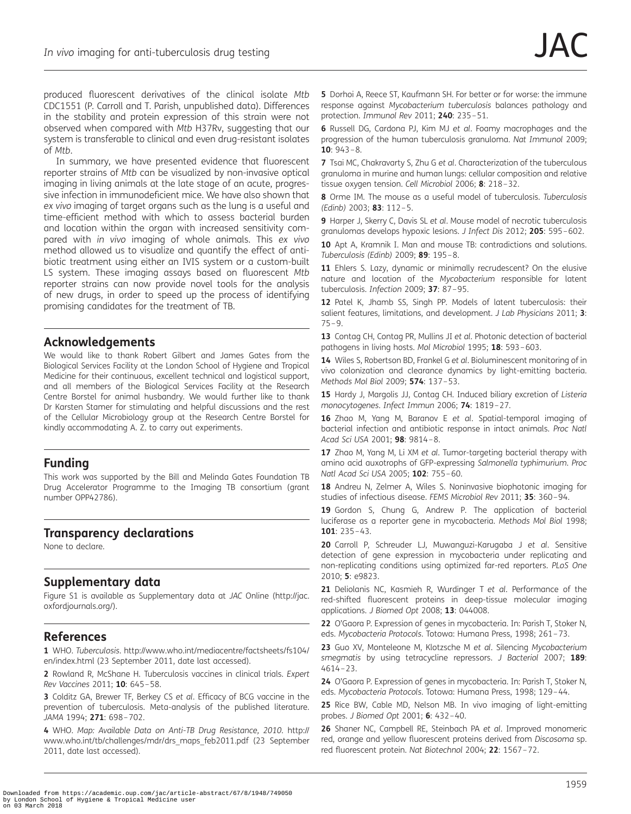<span id="page-11-0"></span>produced fluorescent derivatives of the clinical isolate Mtb CDC1551 (P. Carroll and T. Parish, unpublished data). Differences in the stability and protein expression of this strain were not observed when compared with Mtb H37Rv, suggesting that our system is transferable to clinical and even drug-resistant isolates of Mtb.

In summary, we have presented evidence that fluorescent reporter strains of Mtb can be visualized by non-invasive optical imaging in living animals at the late stage of an acute, progressive infection in immunodeficient mice. We have also shown that ex vivo imaging of target organs such as the lung is a useful and time-efficient method with which to assess bacterial burden and location within the organ with increased sensitivity compared with in vivo imaging of whole animals. This ex vivo method allowed us to visualize and quantify the effect of antibiotic treatment using either an IVIS system or a custom-built LS system. These imaging assays based on fluorescent Mtb reporter strains can now provide novel tools for the analysis of new drugs, in order to speed up the process of identifying promising candidates for the treatment of TB.

## Acknowledgements

We would like to thank Robert Gilbert and James Gates from the Biological Services Facility at the London School of Hygiene and Tropical Medicine for their continuous, excellent technical and logistical support, and all members of the Biological Services Facility at the Research Centre Borstel for animal husbandry. We would further like to thank Dr Karsten Stamer for stimulating and helpful discussions and the rest of the Cellular Microbiology group at the Research Centre Borstel for kindly accommodating A. Z. to carry out experiments.

# Funding

This work was supported by the Bill and Melinda Gates Foundation TB Drug Accelerator Programme to the Imaging TB consortium (grant number OPP42786).

# Transparency declarations

None to declare.

# Supplementary data

[Figure S1 is available as Supplementary data at](http://jac.oxfordjournals.org/lookup/suppl/doi:10.1093/jac/dks161/-/DC1) JAC Online [\(http://jac.](http://jac.oxfordjournals.org/) [oxfordjournals.org/](http://jac.oxfordjournals.org/)).

# References

1 WHO. Tuberculosis. [http://www.who.int/mediacentre/factsheets/fs104/](http://www.who.int/mediacentre/factsheets/fs104/en/index.html) [en/index.html](http://www.who.int/mediacentre/factsheets/fs104/en/index.html) (23 September 2011, date last accessed).

2 Rowland R, McShane H. Tuberculosis vaccines in clinical trials. Expert Rev Vaccines 2011; 10: 645–58.

3 Colditz GA, Brewer TF, Berkey CS et al. Efficacy of BCG vaccine in the prevention of tuberculosis. Meta-analysis of the published literature. JAMA 1994; 271: 698-702.

4 WHO. Map: Available Data on Anti-TB Drug Resistance, 2010. [http://](http://www.who.int/tb/challenges/mdr/drs_maps_feb2011.pdf) [www.who.int/tb/challenges/mdr/drs\\_maps\\_feb2011.pdf](http://www.who.int/tb/challenges/mdr/drs_maps_feb2011.pdf) (23 September 2011, date last accessed).

5 Dorhoi A, Reece ST, Kaufmann SH. For better or for worse: the immune response against Mycobacterium tuberculosis balances pathology and protection. Immunol Rev 2011; 240: 235–51.

6 Russell DG, Cardona PJ, Kim MJ et al. Foamy macrophages and the progression of the human tuberculosis granuloma. Nat Immunol 2009; 10:  $943 - 8$ .

7 Tsai MC, Chakravarty S, Zhu G et al. Characterization of the tuberculous granuloma in murine and human lungs: cellular composition and relative tissue oxygen tension. Cell Microbiol 2006; 8: 218-32.

8 Orme IM. The mouse as a useful model of tuberculosis. Tuberculosis (Edinb) 2003; 83: 112–5.

9 Harper J, Skerry C, Davis SL et al. Mouse model of necrotic tuberculosis granulomas develops hypoxic lesions. J Infect Dis 2012; 205: 595-602.

10 Apt A, Kramnik I, Man and mouse TB: contradictions and solutions. Tuberculosis (Edinb) 2009; 89: 195–8.

11 Ehlers S. Lazy, dynamic or minimally recrudescent? On the elusive nature and location of the Mycobacterium responsible for latent tuberculosis. Infection 2009; 37: 87 –95.

12 Patel K, Jhamb SS, Singh PP. Models of latent tuberculosis: their salient features, limitations, and development. J Lab Physicians 2011; 3: 75–9.

13 Contag CH, Contag PR, Mullins JI et al. Photonic detection of bacterial pathogens in living hosts. Mol Microbiol 1995; 18: 593–603.

14 Wiles S, Robertson BD, Frankel G et al. Bioluminescent monitoring of in vivo colonization and clearance dynamics by light-emitting bacteria. Methods Mol Biol 2009; 574: 137–53.

15 Hardy J, Margolis JJ, Contag CH. Induced biliary excretion of Listeria monocytogenes. Infect Immun 2006; 74: 1819–27.

16 Zhao M, Yang M, Baranov E et al. Spatial-temporal imaging of bacterial infection and antibiotic response in intact animals. Proc Natl Acad Sci USA 2001; 98: 9814–8.

17 Zhao M, Yang M, Li XM et al. Tumor-targeting bacterial therapy with amino acid auxotrophs of GFP-expressing Salmonella typhimurium. Proc Natl Acad Sci USA 2005; 102: 755-60.

18 Andreu N, Zelmer A, Wiles S. Noninvasive biophotonic imaging for studies of infectious disease. FEMS Microbiol Rev 2011; 35: 360–94.

19 Gordon S, Chung G, Andrew P. The application of bacterial luciferase as a reporter gene in mycobacteria. Methods Mol Biol 1998; 101: 235–43.

20 Carroll P, Schreuder LJ, Muwanguzi-Karugaba J et al. Sensitive detection of gene expression in mycobacteria under replicating and non-replicating conditions using optimized far-red reporters. PLoS One 2010; 5: e9823.

21 Deliolanis NC, Kasmieh R, Wurdinger T et al. Performance of the red-shifted fluorescent proteins in deep-tissue molecular imaging applications. J Biomed Opt 2008; 13: 044008.

22 O'Gaora P. Expression of genes in mycobacteria. In: Parish T, Stoker N, eds. Mycobacteria Protocols. Totowa: Humana Press, 1998; 261–73.

23 Guo XV, Monteleone M, Klotzsche M et al. Silencing Mycobacterium smegmatis by using tetracycline repressors. J Bacteriol 2007; 189: 4614–23.

24 O'Gaora P. Expression of genes in mycobacteria. In: Parish T, Stoker N, eds. Mycobacteria Protocols. Totowa: Humana Press, 1998; 129–44.

25 Rice BW, Cable MD, Nelson MB. In vivo imaging of light-emitting probes. J Biomed Opt 2001; 6: 432–40.

26 Shaner NC, Campbell RE, Steinbach PA et al. Improved monomeric red, orange and yellow fluorescent proteins derived from Discosoma sp. red fluorescent protein. Nat Biotechnol 2004; 22: 1567–72.